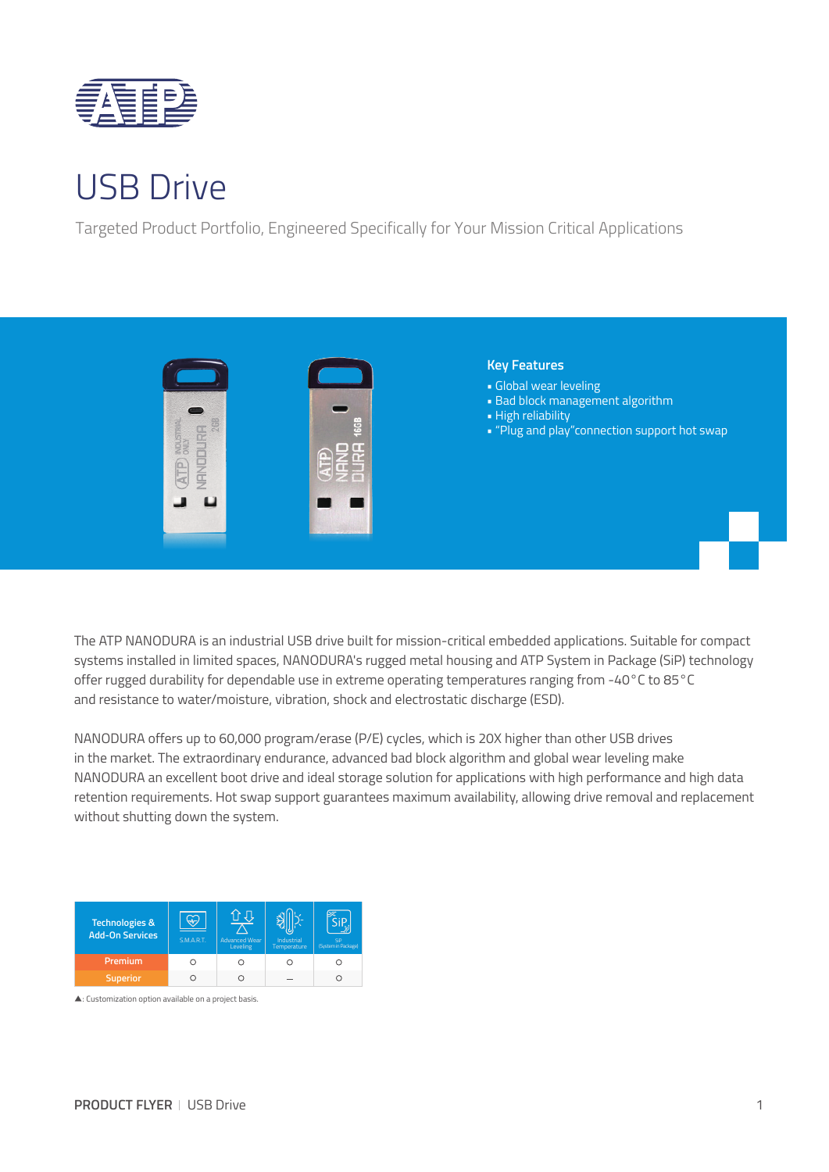

## USB Drive

Targeted Product Portfolio, Engineered Specifically for Your Mission Critical Applications



The ATP NANODURA is an industrial USB drive built for mission-critical embedded applications. Suitable for compact systems installed in limited spaces, NANODURA's rugged metal housing and ATP System in Package (SiP) technology offer rugged durability for dependable use in extreme operating temperatures ranging from -40°C to 85°C and resistance to water/moisture, vibration, shock and electrostatic discharge (ESD).

NANODURA offers up to 60,000 program/erase (P/E) cycles, which is 20X higher than other USB drives in the market. The extraordinary endurance, advanced bad block algorithm and global wear leveling make NANODURA an excellent boot drive and ideal storage solution for applications with high performance and high data retention requirements. Hot swap support guarantees maximum availability, allowing drive removal and replacement without shutting down the system.

| <b>Technologies &amp;</b><br><b>Add-On Services</b> | <b>S.M.A.R.T.</b> | <b>Advanced Wear</b><br>Leveling | Industrial<br>Temperature | Sip<br>(System in Package) |
|-----------------------------------------------------|-------------------|----------------------------------|---------------------------|----------------------------|
| Premium                                             |                   |                                  |                           |                            |
| <b>Superior</b>                                     |                   |                                  |                           |                            |

▲: Customization option available on a project basis.